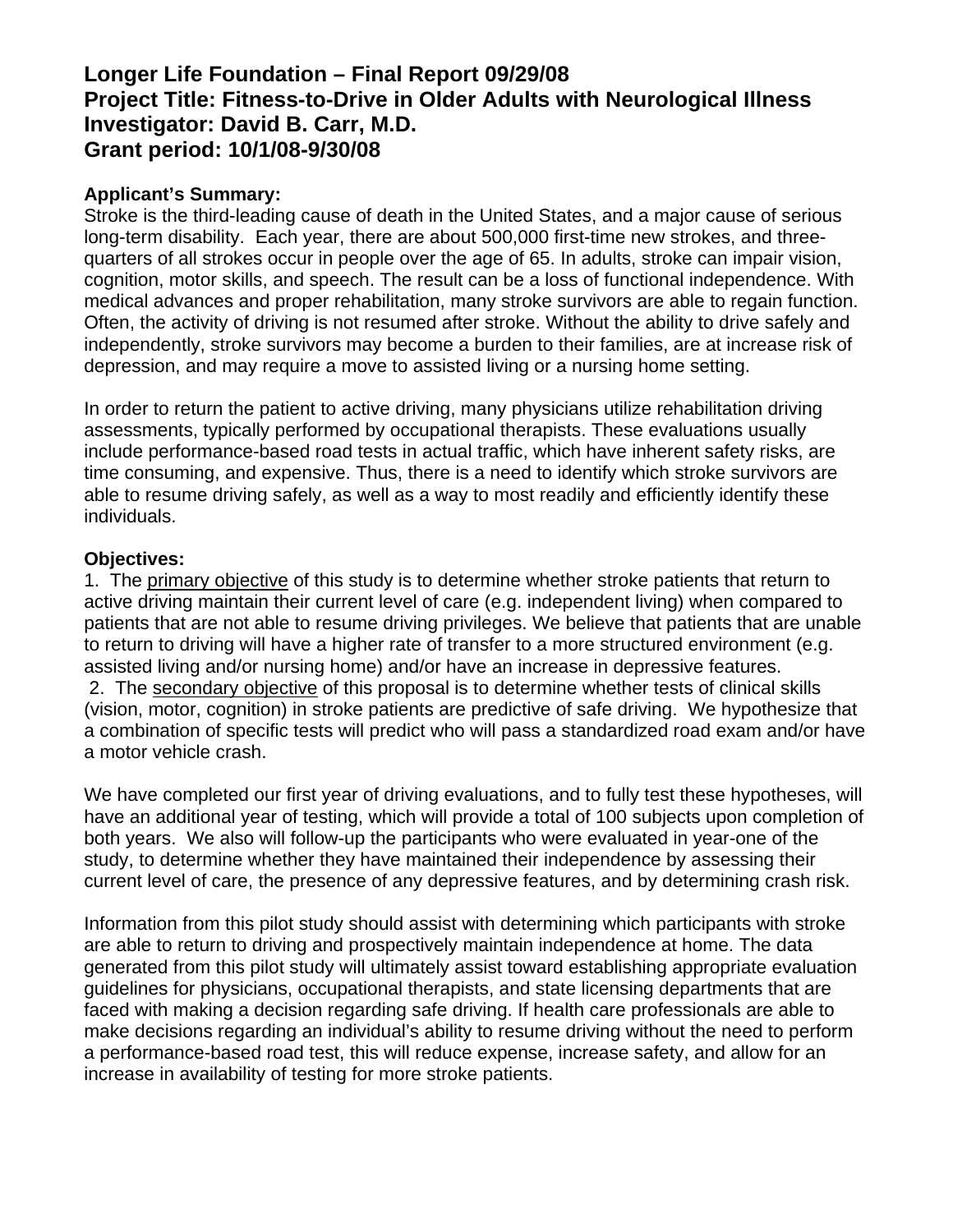## **Longer Life Foundation – Final Report 09/29/08 Project Title: Fitness-to-Drive in Older Adults with Neurological Illness Investigator: David B. Carr, M.D. Grant period: 10/1/08-9/30/08**

### **Applicant's Summary:**

Stroke is the third-leading cause of death in the United States, and a major cause of serious long-term disability. Each year, there are about 500,000 first-time new strokes, and threequarters of all strokes occur in people over the age of 65. In adults, stroke can impair vision, cognition, motor skills, and speech. The result can be a loss of functional independence. With medical advances and proper rehabilitation, many stroke survivors are able to regain function. Often, the activity of driving is not resumed after stroke. Without the ability to drive safely and independently, stroke survivors may become a burden to their families, are at increase risk of depression, and may require a move to assisted living or a nursing home setting.

In order to return the patient to active driving, many physicians utilize rehabilitation driving assessments, typically performed by occupational therapists. These evaluations usually include performance-based road tests in actual traffic, which have inherent safety risks, are time consuming, and expensive. Thus, there is a need to identify which stroke survivors are able to resume driving safely, as well as a way to most readily and efficiently identify these individuals.

### **Objectives:**

1. The primary objective of this study is to determine whether stroke patients that return to active driving maintain their current level of care (e.g. independent living) when compared to patients that are not able to resume driving privileges. We believe that patients that are unable to return to driving will have a higher rate of transfer to a more structured environment (e.g. assisted living and/or nursing home) and/or have an increase in depressive features. 2. The secondary objective of this proposal is to determine whether tests of clinical skills (vision, motor, cognition) in stroke patients are predictive of safe driving. We hypothesize that a combination of specific tests will predict who will pass a standardized road exam and/or have a motor vehicle crash.

We have completed our first year of driving evaluations, and to fully test these hypotheses, will have an additional year of testing, which will provide a total of 100 subjects upon completion of both years. We also will follow-up the participants who were evaluated in year-one of the study, to determine whether they have maintained their independence by assessing their current level of care, the presence of any depressive features, and by determining crash risk.

Information from this pilot study should assist with determining which participants with stroke are able to return to driving and prospectively maintain independence at home. The data generated from this pilot study will ultimately assist toward establishing appropriate evaluation guidelines for physicians, occupational therapists, and state licensing departments that are faced with making a decision regarding safe driving. If health care professionals are able to make decisions regarding an individual's ability to resume driving without the need to perform a performance-based road test, this will reduce expense, increase safety, and allow for an increase in availability of testing for more stroke patients.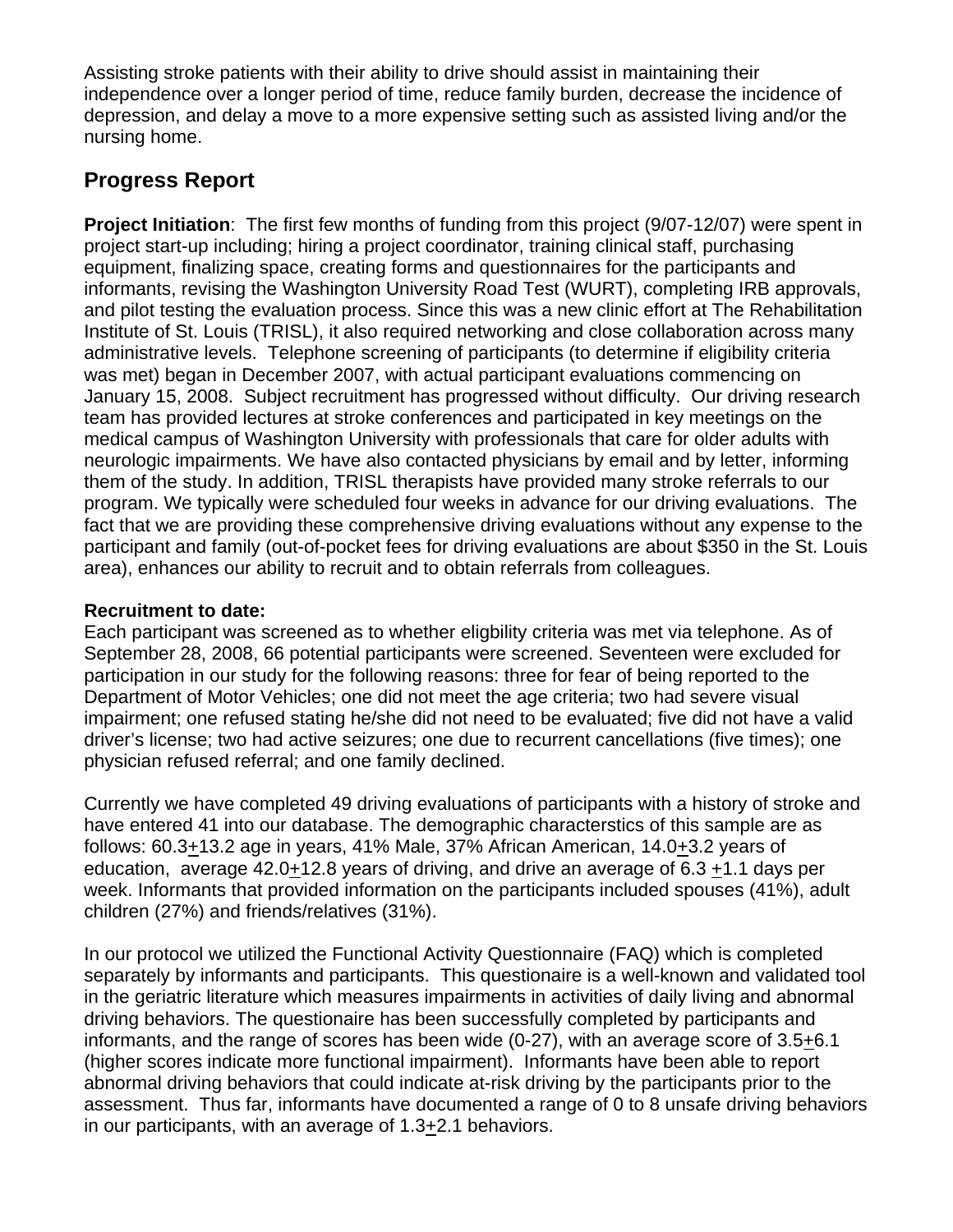Assisting stroke patients with their ability to drive should assist in maintaining their independence over a longer period of time, reduce family burden, decrease the incidence of depression, and delay a move to a more expensive setting such as assisted living and/or the nursing home.

# **Progress Report**

**Project Initiation**: The first few months of funding from this project (9/07-12/07) were spent in project start-up including; hiring a project coordinator, training clinical staff, purchasing equipment, finalizing space, creating forms and questionnaires for the participants and informants, revising the Washington University Road Test (WURT), completing IRB approvals, and pilot testing the evaluation process. Since this was a new clinic effort at The Rehabilitation Institute of St. Louis (TRISL), it also required networking and close collaboration across many administrative levels. Telephone screening of participants (to determine if eligibility criteria was met) began in December 2007, with actual participant evaluations commencing on January 15, 2008. Subject recruitment has progressed without difficulty. Our driving research team has provided lectures at stroke conferences and participated in key meetings on the medical campus of Washington University with professionals that care for older adults with neurologic impairments. We have also contacted physicians by email and by letter, informing them of the study. In addition, TRISL therapists have provided many stroke referrals to our program. We typically were scheduled four weeks in advance for our driving evaluations. The fact that we are providing these comprehensive driving evaluations without any expense to the participant and family (out-of-pocket fees for driving evaluations are about \$350 in the St. Louis area), enhances our ability to recruit and to obtain referrals from colleagues.

### **Recruitment to date:**

Each participant was screened as to whether eligbility criteria was met via telephone. As of September 28, 2008, 66 potential participants were screened. Seventeen were excluded for participation in our study for the following reasons: three for fear of being reported to the Department of Motor Vehicles; one did not meet the age criteria; two had severe visual impairment; one refused stating he/she did not need to be evaluated; five did not have a valid driver's license; two had active seizures; one due to recurrent cancellations (five times); one physician refused referral; and one family declined.

Currently we have completed 49 driving evaluations of participants with a history of stroke and have entered 41 into our database. The demographic characterstics of this sample are as follows: 60.3+13.2 age in years, 41% Male, 37% African American, 14.0+3.2 years of education, average 42.0+12.8 years of driving, and drive an average of 6.3 +1.1 days per week. Informants that provided information on the participants included spouses (41%), adult children (27%) and friends/relatives (31%).

In our protocol we utilized the Functional Activity Questionnaire (FAQ) which is completed separately by informants and participants. This questionaire is a well-known and validated tool in the geriatric literature which measures impairments in activities of daily living and abnormal driving behaviors. The questionaire has been successfully completed by participants and informants, and the range of scores has been wide (0-27), with an average score of 3.5+6.1 (higher scores indicate more functional impairment). Informants have been able to report abnormal driving behaviors that could indicate at-risk driving by the participants prior to the assessment. Thus far, informants have documented a range of 0 to 8 unsafe driving behaviors in our participants, with an average of 1.3+2.1 behaviors.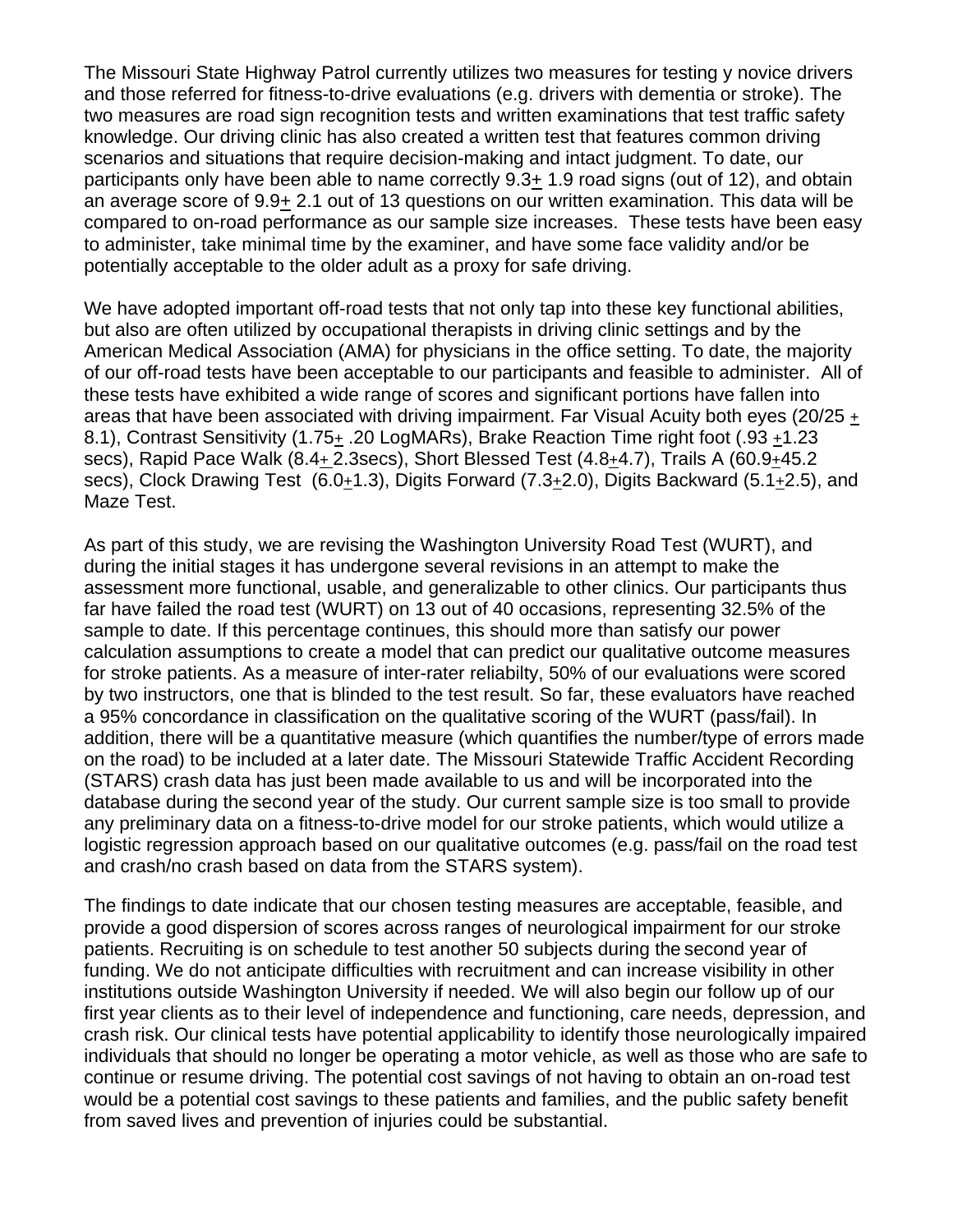The Missouri State Highway Patrol currently utilizes two measures for testing y novice drivers and those referred for fitness-to-drive evaluations (e.g. drivers with dementia or stroke). The two measures are road sign recognition tests and written examinations that test traffic safety knowledge. Our driving clinic has also created a written test that features common driving scenarios and situations that require decision-making and intact judgment. To date, our participants only have been able to name correctly 9.3+ 1.9 road signs (out of 12), and obtain an average score of 9.9+ 2.1 out of 13 questions on our written examination. This data will be compared to on-road performance as our sample size increases. These tests have been easy to administer, take minimal time by the examiner, and have some face validity and/or be potentially acceptable to the older adult as a proxy for safe driving.

We have adopted important off-road tests that not only tap into these key functional abilities, but also are often utilized by occupational therapists in driving clinic settings and by the American Medical Association (AMA) for physicians in the office setting. To date, the majority of our off-road tests have been acceptable to our participants and feasible to administer. All of these tests have exhibited a wide range of scores and significant portions have fallen into areas that have been associated with driving impairment. Far Visual Acuity both eyes (20/25 + 8.1), Contrast Sensitivity (1.75+ .20 LogMARs), Brake Reaction Time right foot (.93 +1.23 secs), Rapid Pace Walk (8.4+ 2.3secs), Short Blessed Test (4.8+4.7), Trails A (60.9+45.2 secs), Clock Drawing Test (6.0+1.3), Digits Forward (7.3+2.0), Digits Backward (5.1+2.5), and Maze Test.

As part of this study, we are revising the Washington University Road Test (WURT), and during the initial stages it has undergone several revisions in an attempt to make the assessment more functional, usable, and generalizable to other clinics. Our participants thus far have failed the road test (WURT) on 13 out of 40 occasions, representing 32.5% of the sample to date. If this percentage continues, this should more than satisfy our power calculation assumptions to create a model that can predict our qualitative outcome measures for stroke patients. As a measure of inter-rater reliabilty, 50% of our evaluations were scored by two instructors, one that is blinded to the test result. So far, these evaluators have reached a 95% concordance in classification on the qualitative scoring of the WURT (pass/fail). In addition, there will be a quantitative measure (which quantifies the number/type of errors made on the road) to be included at a later date. The Missouri Statewide Traffic Accident Recording (STARS) crash data has just been made available to us and will be incorporated into the database during the second year of the study. Our current sample size is too small to provide any preliminary data on a fitness-to-drive model for our stroke patients, which would utilize a logistic regression approach based on our qualitative outcomes (e.g. pass/fail on the road test and crash/no crash based on data from the STARS system).

The findings to date indicate that our chosen testing measures are acceptable, feasible, and provide a good dispersion of scores across ranges of neurological impairment for our stroke patients. Recruiting is on schedule to test another 50 subjects during the second year of funding. We do not anticipate difficulties with recruitment and can increase visibility in other institutions outside Washington University if needed. We will also begin our follow up of our first year clients as to their level of independence and functioning, care needs, depression, and crash risk. Our clinical tests have potential applicability to identify those neurologically impaired individuals that should no longer be operating a motor vehicle, as well as those who are safe to continue or resume driving. The potential cost savings of not having to obtain an on-road test would be a potential cost savings to these patients and families, and the public safety benefit from saved lives and prevention of injuries could be substantial.